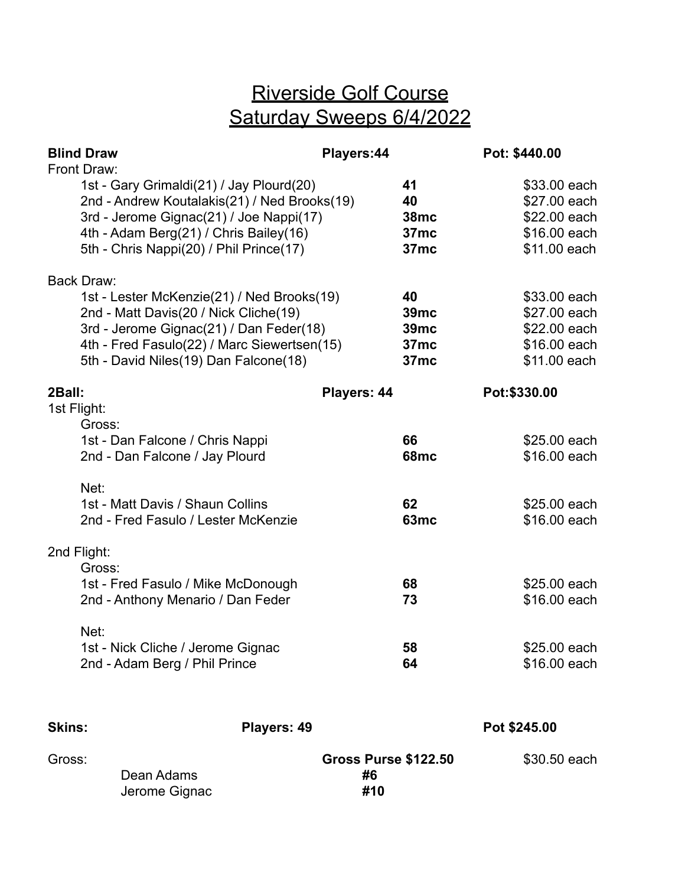## Riverside Golf Course Saturday Sweeps 6/4/2022

| <b>Blind Draw</b>     |                                                                                                                                                                                                                          | Players:44                               |                                                       | Pot: \$440.00                                                                |  |
|-----------------------|--------------------------------------------------------------------------------------------------------------------------------------------------------------------------------------------------------------------------|------------------------------------------|-------------------------------------------------------|------------------------------------------------------------------------------|--|
| Front Draw:           | 1st - Gary Grimaldi(21) / Jay Plourd(20)<br>2nd - Andrew Koutalakis(21) / Ned Brooks(19)<br>3rd - Jerome Gignac(21) / Joe Nappi(17)<br>4th - Adam Berg(21) / Chris Bailey(16)<br>5th - Chris Nappi(20) / Phil Prince(17) |                                          | 41<br>40<br><b>38mc</b><br>37mc<br>37mc               | \$33.00 each<br>\$27.00 each<br>\$22.00 each<br>\$16.00 each<br>\$11.00 each |  |
| <b>Back Draw:</b>     | 1st - Lester McKenzie(21) / Ned Brooks(19)<br>2nd - Matt Davis(20 / Nick Cliche(19)<br>3rd - Jerome Gignac(21) / Dan Feder(18)<br>4th - Fred Fasulo(22) / Marc Siewertsen(15)<br>5th - David Niles(19) Dan Falcone(18)   |                                          | 40<br><b>39mc</b><br>39mc<br>37mc<br>37 <sub>mc</sub> | \$33.00 each<br>\$27.00 each<br>\$22.00 each<br>\$16.00 each<br>\$11.00 each |  |
| 2Ball:<br>1st Flight: | Gross:<br>1st - Dan Falcone / Chris Nappi                                                                                                                                                                                | Players: 44                              | 66                                                    | Pot: \$330.00<br>\$25.00 each                                                |  |
|                       | 2nd - Dan Falcone / Jay Plourd<br>Net:<br>1st - Matt Davis / Shaun Collins<br>2nd - Fred Fasulo / Lester McKenzie                                                                                                        |                                          | <b>68mc</b><br>62<br>63 <sub>mc</sub>                 | \$16.00 each<br>\$25.00 each<br>\$16.00 each                                 |  |
| 2nd Flight:           | Gross:<br>1st - Fred Fasulo / Mike McDonough<br>2nd - Anthony Menario / Dan Feder                                                                                                                                        |                                          | 68<br>73                                              | \$25.00 each<br>\$16.00 each                                                 |  |
|                       | Net:<br>1st - Nick Cliche / Jerome Gignac<br>2nd - Adam Berg / Phil Prince                                                                                                                                               |                                          | 58<br>64                                              | \$25.00 each<br>\$16.00 each                                                 |  |
| <b>Skins:</b>         | Players: 49                                                                                                                                                                                                              |                                          |                                                       | Pot \$245.00                                                                 |  |
| Gross:                | Dean Adams<br>Jerome Gignac                                                                                                                                                                                              | <b>Gross Purse \$122.50</b><br>#6<br>#10 |                                                       | \$30.50 each                                                                 |  |